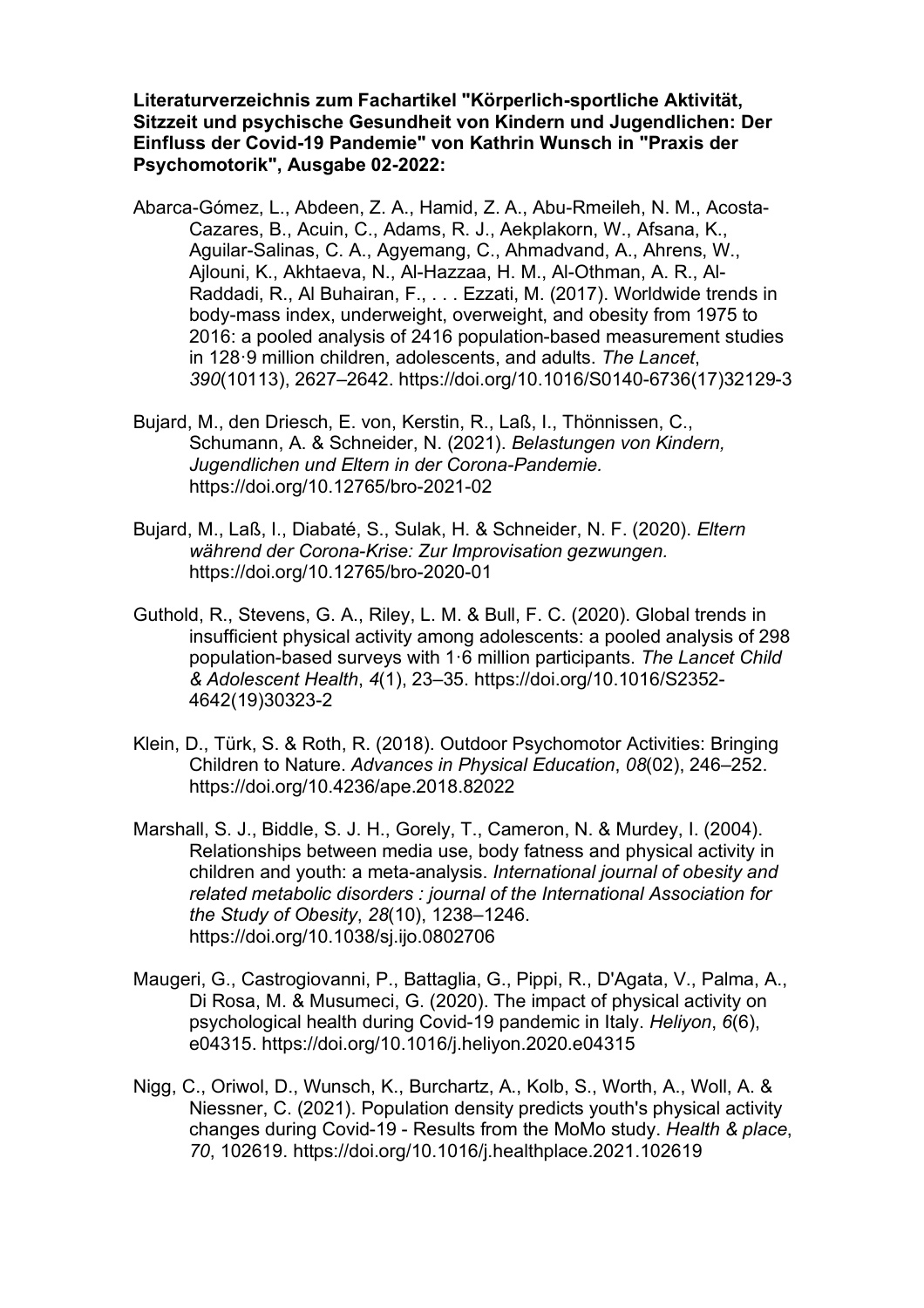**Literaturverzeichnis zum Fachartikel "Körperlich-sportliche Aktivität, Sitzzeit und psychische Gesundheit von Kindern und Jugendlichen: Der Einfluss der Covid-19 Pandemie" von Kathrin Wunsch in "Praxis der Psychomotorik", Ausgabe 02-2022:**

- Abarca-Gómez, L., Abdeen, Z. A., Hamid, Z. A., Abu-Rmeileh, N. M., Acosta-Cazares, B., Acuin, C., Adams, R. J., Aekplakorn, W., Afsana, K., Aguilar-Salinas, C. A., Agyemang, C., Ahmadvand, A., Ahrens, W., Ajlouni, K., Akhtaeva, N., Al-Hazzaa, H. M., Al-Othman, A. R., Al-Raddadi, R., Al Buhairan, F., . . . Ezzati, M. (2017). Worldwide trends in body-mass index, underweight, overweight, and obesity from 1975 to 2016: a pooled analysis of 2416 population-based measurement studies in 128·9 million children, adolescents, and adults. *The Lancet*, *390*(10113), 2627–2642. https://doi.org/10.1016/S0140-6736(17)32129-3
- Bujard, M., den Driesch, E. von, Kerstin, R., Laß, I., Thönnissen, C., Schumann, A. & Schneider, N. (2021). *Belastungen von Kindern, Jugendlichen und Eltern in der Corona-Pandemie.*  https://doi.org/10.12765/bro-2021-02
- Bujard, M., Laß, I., Diabaté, S., Sulak, H. & Schneider, N. F. (2020). *Eltern während der Corona-Krise: Zur Improvisation gezwungen.*  https://doi.org/10.12765/bro-2020-01
- Guthold, R., Stevens, G. A., Riley, L. M. & Bull, F. C. (2020). Global trends in insufficient physical activity among adolescents: a pooled analysis of 298 population-based surveys with 1·6 million participants. *The Lancet Child & Adolescent Health*, *4*(1), 23–35. https://doi.org/10.1016/S2352- 4642(19)30323-2
- Klein, D., Türk, S. & Roth, R. (2018). Outdoor Psychomotor Activities: Bringing Children to Nature. *Advances in Physical Education*, *08*(02), 246–252. https://doi.org/10.4236/ape.2018.82022
- Marshall, S. J., Biddle, S. J. H., Gorely, T., Cameron, N. & Murdey, I. (2004). Relationships between media use, body fatness and physical activity in children and youth: a meta-analysis. *International journal of obesity and related metabolic disorders : journal of the International Association for the Study of Obesity*, *28*(10), 1238–1246. https://doi.org/10.1038/sj.ijo.0802706
- Maugeri, G., Castrogiovanni, P., Battaglia, G., Pippi, R., D'Agata, V., Palma, A., Di Rosa, M. & Musumeci, G. (2020). The impact of physical activity on psychological health during Covid-19 pandemic in Italy. *Heliyon*, *6*(6), e04315. https://doi.org/10.1016/j.heliyon.2020.e04315
- Nigg, C., Oriwol, D., Wunsch, K., Burchartz, A., Kolb, S., Worth, A., Woll, A. & Niessner, C. (2021). Population density predicts youth's physical activity changes during Covid-19 - Results from the MoMo study. *Health & place*, *70*, 102619. https://doi.org/10.1016/j.healthplace.2021.102619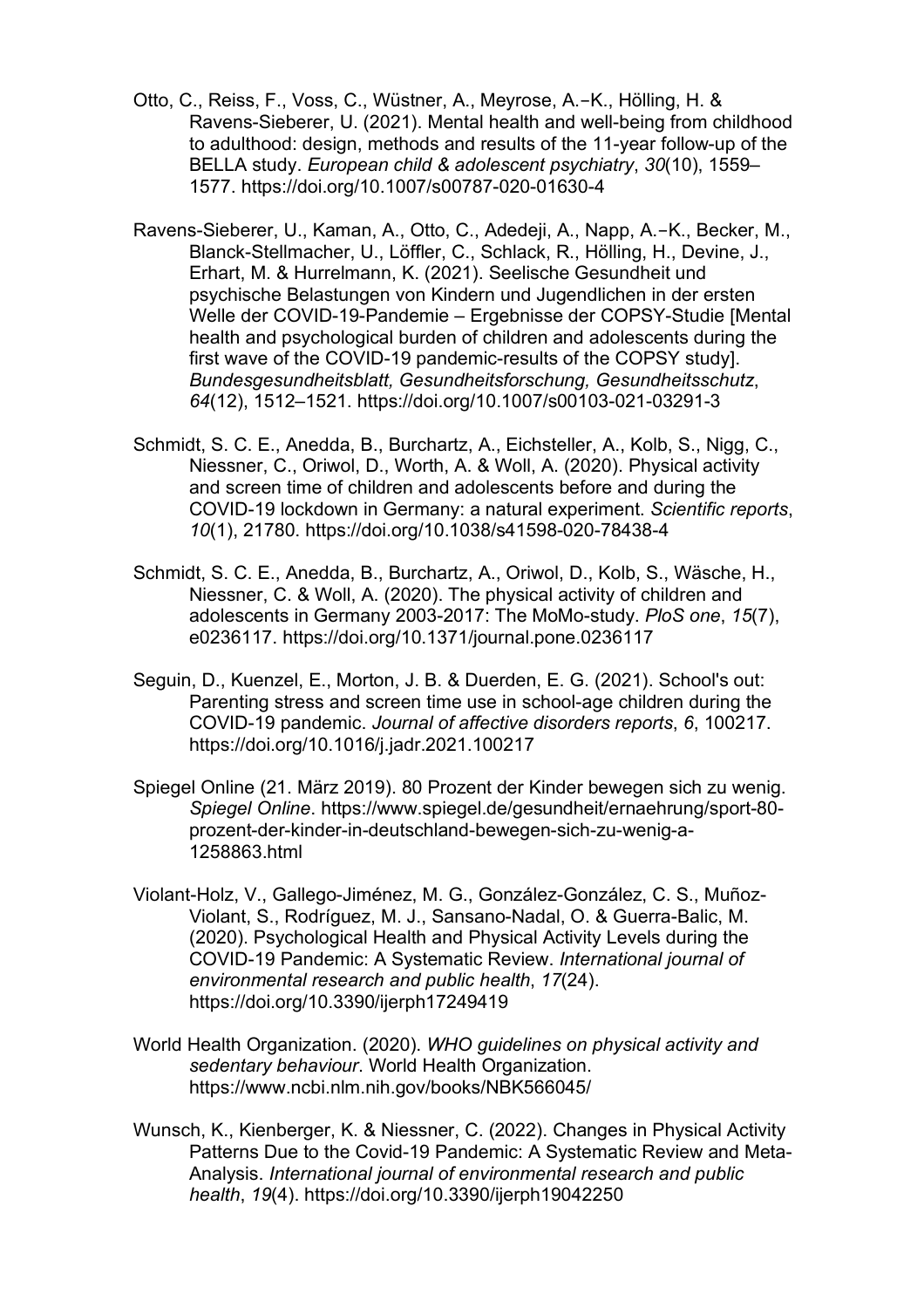- Otto, C., Reiss, F., Voss, C., Wüstner, A., Meyrose, A.-K., Hölling, H. & Ravens-Sieberer, U. (2021). Mental health and well-being from childhood to adulthood: design, methods and results of the 11-year follow-up of the BELLA study. *European child & adolescent psychiatry*, *30*(10), 1559– 1577. https://doi.org/10.1007/s00787-020-01630-4
- Ravens-Sieberer, U., Kaman, A., Otto, C., Adedeji, A., Napp, A.-K., Becker, M., Blanck-Stellmacher, U., Löffler, C., Schlack, R., Hölling, H., Devine, J., Erhart, M. & Hurrelmann, K. (2021). Seelische Gesundheit und psychische Belastungen von Kindern und Jugendlichen in der ersten Welle der COVID-19-Pandemie – Ergebnisse der COPSY-Studie [Mental health and psychological burden of children and adolescents during the first wave of the COVID-19 pandemic-results of the COPSY study]. *Bundesgesundheitsblatt, Gesundheitsforschung, Gesundheitsschutz*, *64*(12), 1512–1521. https://doi.org/10.1007/s00103-021-03291-3
- Schmidt, S. C. E., Anedda, B., Burchartz, A., Eichsteller, A., Kolb, S., Nigg, C., Niessner, C., Oriwol, D., Worth, A. & Woll, A. (2020). Physical activity and screen time of children and adolescents before and during the COVID-19 lockdown in Germany: a natural experiment. *Scientific reports*, *10*(1), 21780. https://doi.org/10.1038/s41598-020-78438-4
- Schmidt, S. C. E., Anedda, B., Burchartz, A., Oriwol, D., Kolb, S., Wäsche, H., Niessner, C. & Woll, A. (2020). The physical activity of children and adolescents in Germany 2003-2017: The MoMo-study. *PloS one*, *15*(7), e0236117. https://doi.org/10.1371/journal.pone.0236117
- Seguin, D., Kuenzel, E., Morton, J. B. & Duerden, E. G. (2021). School's out: Parenting stress and screen time use in school-age children during the COVID-19 pandemic. *Journal of affective disorders reports*, *6*, 100217. https://doi.org/10.1016/j.jadr.2021.100217
- Spiegel Online (21. März 2019). 80 Prozent der Kinder bewegen sich zu wenig. *Spiegel Online*. https://www.spiegel.de/gesundheit/ernaehrung/sport-80 prozent-der-kinder-in-deutschland-bewegen-sich-zu-wenig-a-1258863.html
- Violant-Holz, V., Gallego-Jiménez, M. G., González-González, C. S., Muñoz-Violant, S., Rodríguez, M. J., Sansano-Nadal, O. & Guerra-Balic, M. (2020). Psychological Health and Physical Activity Levels during the COVID-19 Pandemic: A Systematic Review. *International journal of environmental research and public health*, *17*(24). https://doi.org/10.3390/ijerph17249419
- World Health Organization. (2020). *WHO guidelines on physical activity and sedentary behaviour*. World Health Organization. https://www.ncbi.nlm.nih.gov/books/NBK566045/
- Wunsch, K., Kienberger, K. & Niessner, C. (2022). Changes in Physical Activity Patterns Due to the Covid-19 Pandemic: A Systematic Review and Meta-Analysis. *International journal of environmental research and public health*, *19*(4). https://doi.org/10.3390/ijerph19042250